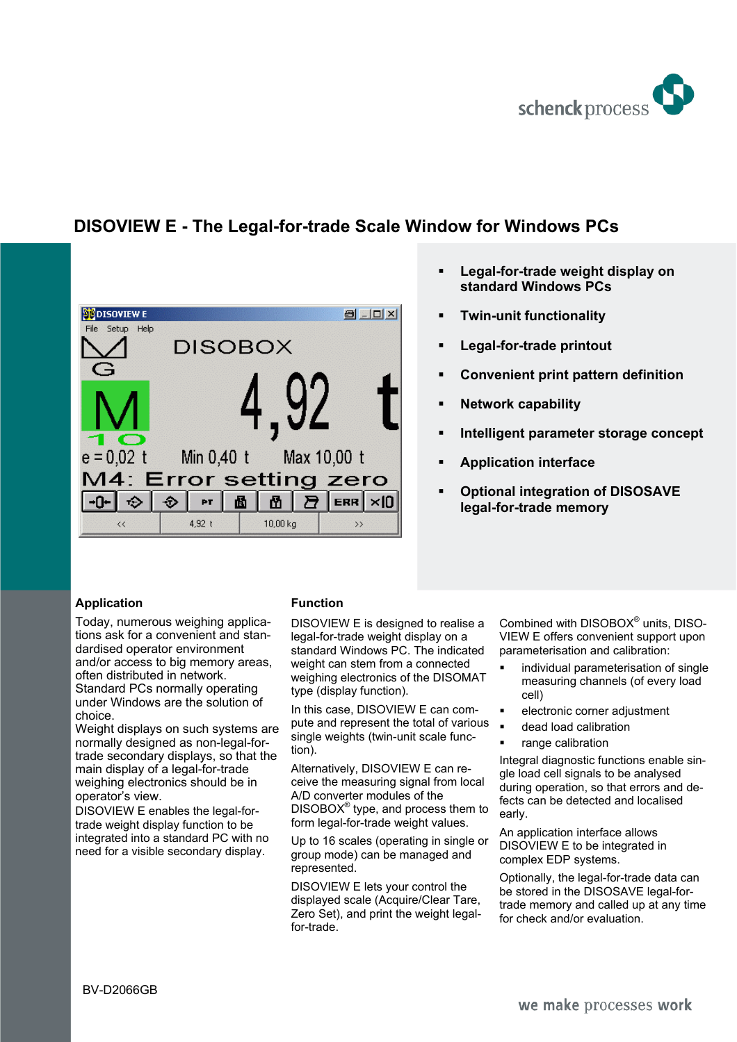

# **DISOVIEW E - The Legal-for-trade Scale Window for Windows PCs**



- **Legal-for-trade weight display on standard Windows PCs**
- **Twin-unit functionality**
- **Legal-for-trade printout**
- **Convenient print pattern definition**
- **Network capability**
- **Intelligent parameter storage concept**
- **Application interface**
- **Optional integration of DISOSAVE legal-for-trade memory**

## **Application**

Today, numerous weighing applications ask for a convenient and standardised operator environment and/or access to big memory areas, often distributed in network. Standard PCs normally operating under Windows are the solution of choice.

Weight displays on such systems are normally designed as non-legal-fortrade secondary displays, so that the main display of a legal-for-trade weighing electronics should be in operator's view.

DISOVIEW E enables the legal-fortrade weight display function to be integrated into a standard PC with no need for a visible secondary display.

## **Function**

DISOVIEW E is designed to realise a legal-for-trade weight display on a standard Windows PC. The indicated weight can stem from a connected weighing electronics of the DISOMAT type (display function).

In this case, DISOVIEW E can compute and represent the total of various single weights (twin-unit scale function).

Alternatively, DISOVIEW E can receive the measuring signal from local A/D converter modules of the  $DISOBOX<sup>®</sup>$  type, and process them to form legal-for-trade weight values.

Up to 16 scales (operating in single or group mode) can be managed and represented.

DISOVIEW E lets your control the displayed scale (Acquire/Clear Tare, Zero Set), and print the weight legalfor-trade.

Combined with DISOBOX<sup>®</sup> units, DISO-VIEW E offers convenient support upon parameterisation and calibration:

- individual parameterisation of single measuring channels (of every load cell)
- electronic corner adjustment
- dead load calibration
- range calibration

Integral diagnostic functions enable single load cell signals to be analysed during operation, so that errors and defects can be detected and localised early.

An application interface allows DISOVIEW E to be integrated in complex EDP systems.

Optionally, the legal-for-trade data can be stored in the DISOSAVE legal-fortrade memory and called up at any time for check and/or evaluation.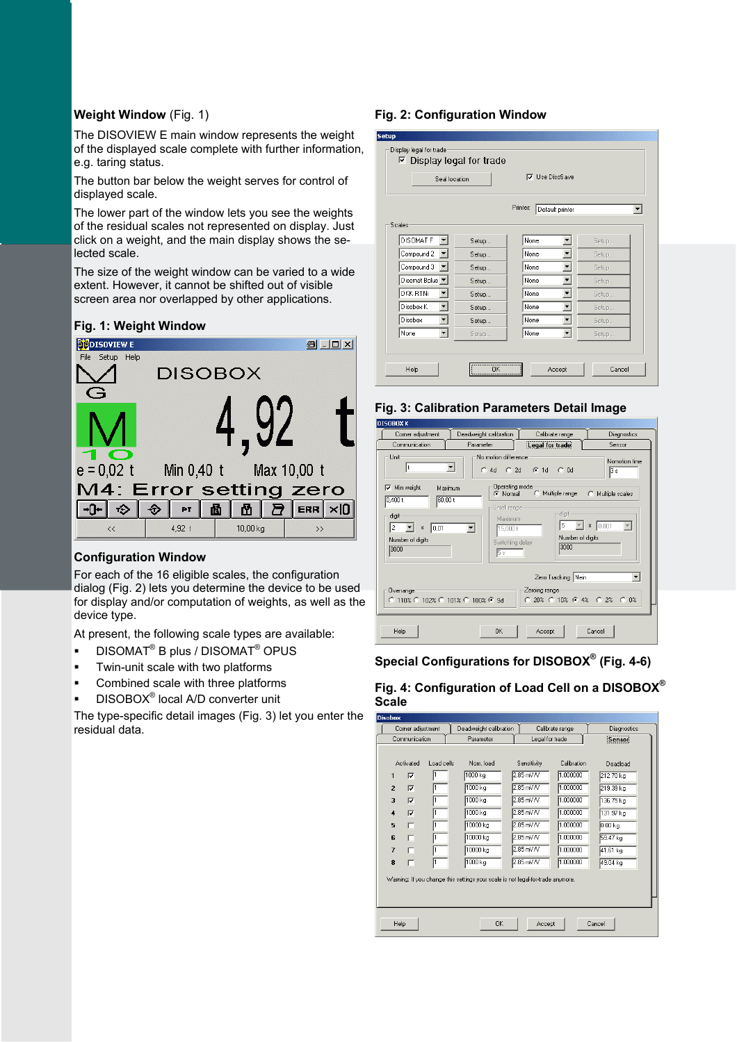## **Weight Window** (Fig. 1)

The DISOVIEW E main window represents the weight of the displayed scale complete with further information, e.g. taring status.

The button bar below the weight serves for control of displayed scale.

The lower part of the window lets you see the weights of the residual scales not represented on display. Just click on a weight, and the main display shows the selected scale.

The size of the weight window can be varied to a wide extent. However, it cannot be shifted out of visible screen area nor overlapped by other applications.





## **Configuration Window**

For each of the 16 eligible scales, the configuration dialog (Fig. 2) lets you determine the device to be used for display and/or computation of weights, as well as the device type.

At present, the following scale types are available:

- $\blacksquare$  DISOMAT<sup>®</sup> B plus / DISOMAT<sup>®</sup> OPUS
- Twin-unit scale with two platforms
- Combined scale with three platforms
- $\blacksquare$  DISOBOX<sup>®</sup> local A/D converter unit

The type-specific detail images (Fig. 3) let you enter the residual data.

## **Fig. 2: Configuration Window**

|                      | $\nabla$ Display legal for trade<br>$\nabla$ Lise DisoSave<br>Seal location |                              |       |  |  |  |  |
|----------------------|-----------------------------------------------------------------------------|------------------------------|-------|--|--|--|--|
|                      |                                                                             | Printer:<br>Default printer  |       |  |  |  |  |
| Scales               |                                                                             |                              |       |  |  |  |  |
| DISOMAT F            | Setup                                                                       | None                         | Setup |  |  |  |  |
| Compound 2           | Setup                                                                       | None                         | Setup |  |  |  |  |
| Compound 3           | Setup                                                                       | None<br>▼                    | Setup |  |  |  |  |
| Disomat Bplus        | Setup                                                                       | None<br>▼                    | Setup |  |  |  |  |
| DKK RTNi             | Setup                                                                       | None<br>$\blacktriangledown$ | Setup |  |  |  |  |
| Disobox K            | Setup                                                                       | None<br>▼                    | Setup |  |  |  |  |
| Disobox<br>▼         | Setup                                                                       | None<br>$\blacktriangledown$ | Setup |  |  |  |  |
| $\mathbf{r}$<br>None | Setup                                                                       | None<br>$\blacktriangledown$ | Setup |  |  |  |  |



| Corner adjustment                                    | Deadweight calibration                               | Calibrate range                                            | Diagnostics                 |
|------------------------------------------------------|------------------------------------------------------|------------------------------------------------------------|-----------------------------|
| Communication                                        | Parameter                                            | Legal for trade                                            | Sensor                      |
| Linit<br>ŧ                                           | No motion difference<br>▼<br>4d C 2d G 1d<br>C       | $C$ $Dd$                                                   | Nomotion time<br>3s         |
| $\nabla$ Min weight<br>Maximum<br>60,00 t<br>0.400t  | Operating mode<br>C Normal<br>Small range-           | Multiple range<br>$\circ$                                  | $\sigma$<br>Multiple scales |
| digit<br>2<br>10.01<br>x<br>Number of digits<br>3000 | Maximum.<br>15.000 t<br>▼<br>Switching delay<br>15 s | digit-<br>5<br>Number of digits<br>3000                    | $x \ 0.001$                 |
|                                                      |                                                      | Zero Tracking Nein                                         |                             |
| Overrange<br>C 110% C 102% C 101% C 100% C 9d        |                                                      | Zeroing range-<br>$C120\%$ $C10\%$ $C14\%$ $C12\%$ $C10\%$ |                             |
| Help                                                 | ΠK.                                                  | Accept                                                     | Cancel                      |

**Special Configurations for DISOBOX® (Fig. 4-6)** 

**Fig. 4: Configuration of Load Cell on a DISOBOX® Scale** 

|                     | Corner adjustment | Deadweight calibration                                                          |               | Calibrate range | <b>Diagnostics</b> |
|---------------------|-------------------|---------------------------------------------------------------------------------|---------------|-----------------|--------------------|
| Communication       |                   | Parameter                                                                       |               | Legal for trade | Senson             |
|                     |                   |                                                                                 |               |                 |                    |
| Activated           | Load cells        | Nom load                                                                        | Sensitivity   | Calibration     | Deadload           |
| ঢ়<br>1             |                   | 1000 kg                                                                         | $2.85$ mV/V   | 1.000000        | 212.70 kg          |
| $\overline{2}$<br>⊽ |                   | 1000 kg                                                                         | $2.85$ mV/V   | 1.000000        | 219.39 kg          |
| $\overline{3}$<br>⊽ |                   | 1000 kg                                                                         | 2.85 mV/V     | 1.000000        | 136.75 kg          |
| $\overline{4}$<br>⊽ |                   | $1000$ kg                                                                       | 2.85 mV/V     | 1.000000        | 131.97 kg          |
| 5<br>п              |                   | 10000 kg                                                                        | $2.85$ mV $N$ | 1.000000        | 0.00 <sub>kq</sub> |
| 6<br>п              |                   | 10000 kg                                                                        | $2.85$ mV/V   | 1.000000        | 59.47 kg           |
| $\overline{t}$<br>г |                   | 10000 kg                                                                        | 2.85 mV/V     | 1.000000        | 41.61 kg           |
| 8<br>п              |                   | 1000 kg                                                                         | 2.85 mV/V     | 1.000000        | 49.04 kg           |
|                     |                   | Warning: If you change this settings your scale is not legal-for-trade anymore. |               |                 |                    |
|                     |                   |                                                                                 |               |                 |                    |
|                     |                   |                                                                                 |               |                 |                    |
|                     |                   |                                                                                 |               |                 |                    |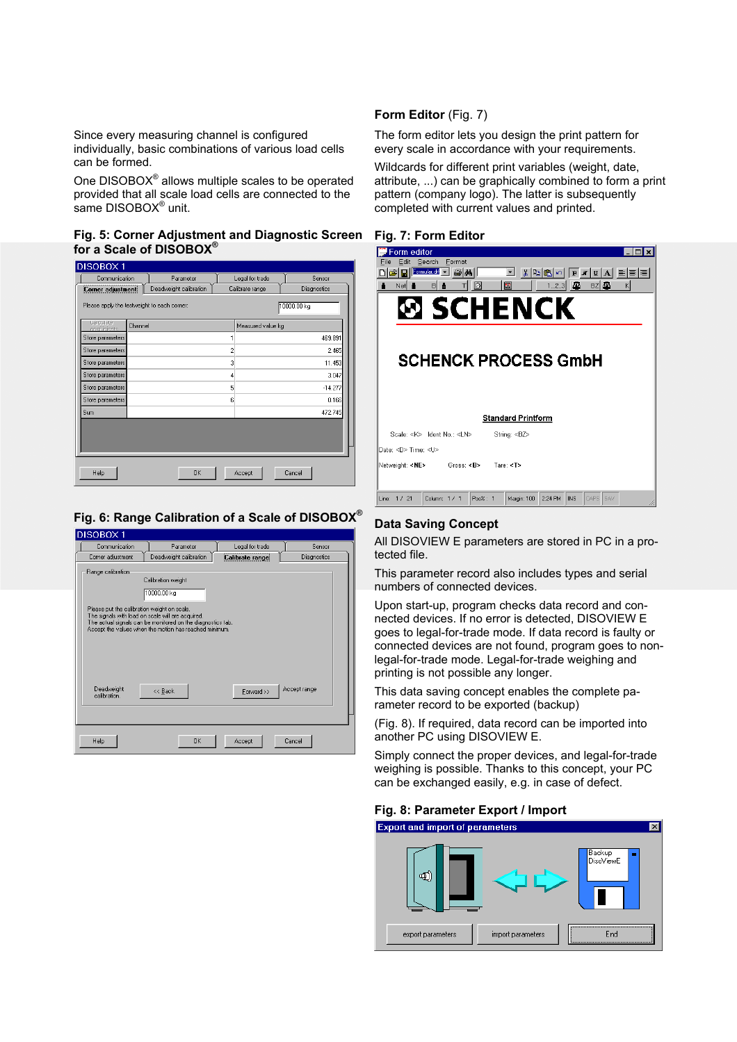Since every measuring channel is configured individually, basic combinations of various load cells can be formed.

One DISOBOX<sup>®</sup> allows multiple scales to be operated provided that all scale load cells are connected to the same DISOBOX® unit.

#### **Fig. 5: Corner Adjustment and Diagnostic Screen for a Scale of DISOBOX®**

| Communication                                | Parameter              |                | Legal for trade   | Sensor      |
|----------------------------------------------|------------------------|----------------|-------------------|-------------|
| Corner adjustment                            | Deadweight calibration |                | Calibrate range   | Diagnostics |
| Please apply the testweight to each corner:  |                        |                |                   | 10000.00 kg |
| <b>Lalculate</b><br>Channel<br>coefficients. |                        |                | Measured value kg |             |
| Store parameters                             |                        |                |                   | 469.891     |
| Store parameters                             |                        | $\overline{c}$ |                   | 2.465       |
| Store parameters                             |                        | 3              |                   | 11.453      |
| Store parameters                             |                        | 4              |                   | 3.047       |
| Store parameters                             |                        | 5              |                   | $-14.277$   |
| Store parameters                             |                        | 6              |                   | 0.166       |
| Sum                                          |                        |                |                   | 472.745     |
|                                              |                        |                |                   |             |
| Help                                         | <b>OK</b>              |                | Accept            | Cancel      |

# **Fig. 6: Range Calibration of a Scale of DISOBOX®**

| DISOBOX 1                                                                                                              |                                                                                                                                                            |                 |              |
|------------------------------------------------------------------------------------------------------------------------|------------------------------------------------------------------------------------------------------------------------------------------------------------|-----------------|--------------|
| Communication                                                                                                          | Parameter                                                                                                                                                  | Legal for trade | Sensor       |
| Corner adjustment                                                                                                      | Deadweight calibration                                                                                                                                     | Calibrate range | Diagnostics  |
| Range calibration:<br>Please put the calibration weight on scale.<br>The signals with load on scale will are acquired. | Calibration weight<br>10000.00 kg<br>The actual signals can be monitored on the diagnostics tab.<br>Accept the values when the motion has reached minimum. |                 |              |
| Deadweight<br>calibration.                                                                                             | << Back                                                                                                                                                    | Forward >>      | Accept range |
| Help                                                                                                                   | <b>OK</b>                                                                                                                                                  | Accept          | Cancel       |

## **Form Editor** (Fig. 7)

The form editor lets you design the print pattern for every scale in accordance with your requirements.

Wildcards for different print variables (weight, date, attribute, ...) can be graphically combined to form a print pattern (company logo). The latter is subsequently completed with current values and printed.

### **Fig. 7: Form Editor**

| Form editor<br>Format<br>Edit<br>Search<br>Formular.drf <<br>$\bigoplus$ M<br>$\blacktriangledown$<br>人国<br>$F$ $X$ $U$ |
|-------------------------------------------------------------------------------------------------------------------------|
| 團<br>123<br>BZ $\mathbf{E}$<br>Net<br>B<br>Θ<br>一品<br>K<br>Ō                                                            |
| <b>SCHENCK</b>                                                                                                          |
| <b>SCHENCK PROCESS GmbH</b>                                                                                             |
| <b>Standard Printform</b>                                                                                               |
| Scale: <k> Ident No.: <ln><br/>String: <bz></bz></ln></k>                                                               |
| Date: <d> Time: <u></u></d>                                                                                             |
| Netweight: <ne> Gross: <b> Tare: <t></t></b></ne>                                                                       |
| CAPS SAV<br>Margin: 100<br>2:24 PM<br><b>INS</b><br>Column: 1 / 1<br>Pos%: 1<br>Line:<br>1/21                           |

## **Data Saving Concept**

All DISOVIEW E parameters are stored in PC in a protected file.

This parameter record also includes types and serial numbers of connected devices.

Upon start-up, program checks data record and connected devices. If no error is detected, DISOVIEW E goes to legal-for-trade mode. If data record is faulty or connected devices are not found, program goes to nonlegal-for-trade mode. Legal-for-trade weighing and printing is not possible any longer.

This data saving concept enables the complete parameter record to be exported (backup)

(Fig. 8). If required, data record can be imported into another PC using DISOVIEW E.

Simply connect the proper devices, and legal-for-trade weighing is possible. Thanks to this concept, your PC can be exchanged easily, e.g. in case of defect.

#### **Fig. 8: Parameter Export / Import**

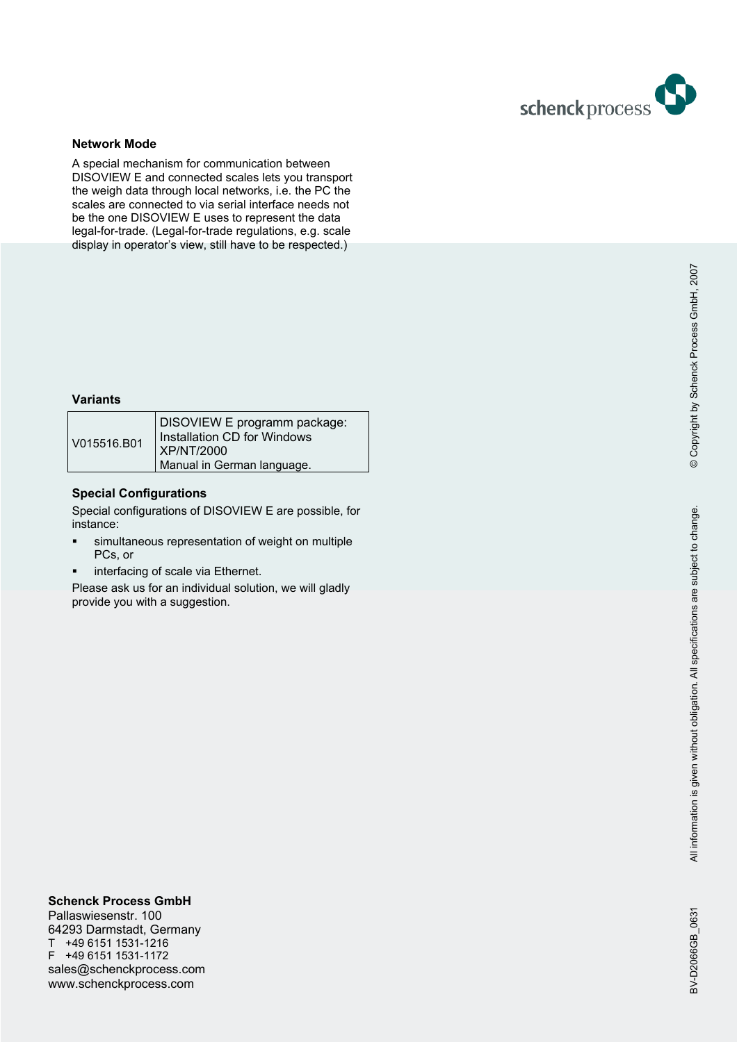

### **Network Mode**

A special mechanism for communication between DISOVIEW E and connected scales lets you transport the weigh data through local networks, i.e. the PC the scales are connected to via serial interface needs not be the one DISOVIEW E uses to represent the data legal-for-trade. (Legal-for-trade regulations, e.g. scale display in operator's view, still have to be respected.)

## **Variants**

| V015516.B01 | DISOVIEW E programm package:<br>Installation CD for Windows<br><b>XP/NT/2000</b><br>Manual in German language. |
|-------------|----------------------------------------------------------------------------------------------------------------|
|-------------|----------------------------------------------------------------------------------------------------------------|

### **Special Configurations**

Special configurations of DISOVIEW E are possible, for instance:

- simultaneous representation of weight on multiple PCs, or
- **·** interfacing of scale via Ethernet.

Please ask us for an individual solution, we will gladly provide you with a suggestion.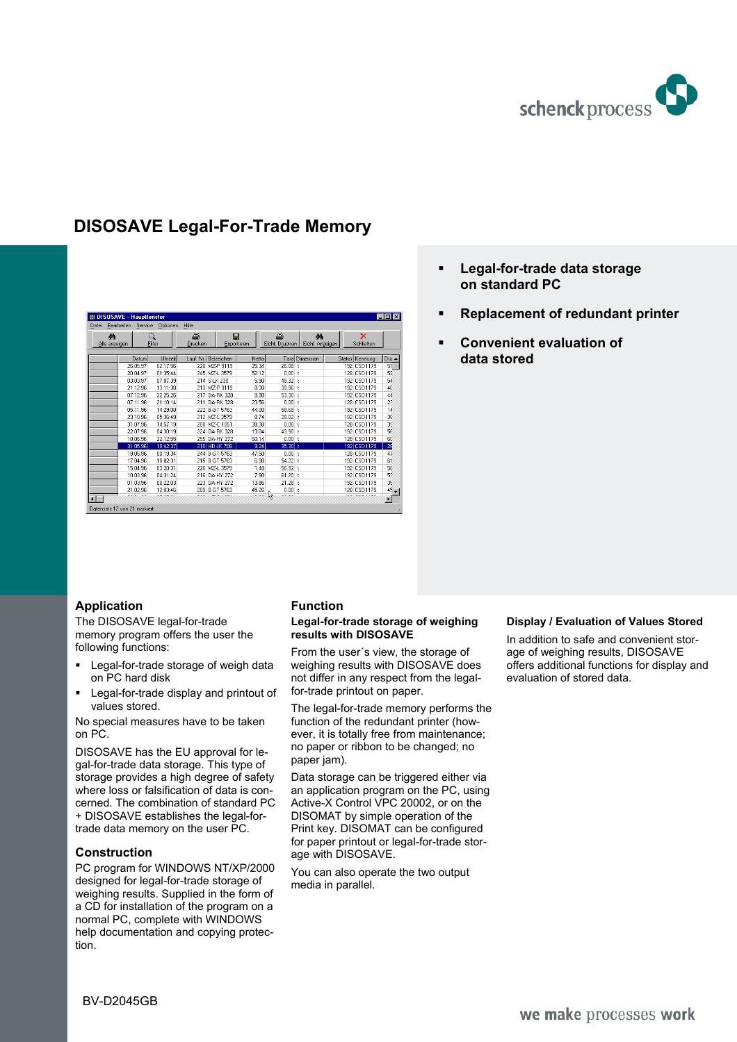

# **DISOSAVE Legal-For-Trade Memory**

| Bearbeiten Service Optionen<br>Datei |          |          | Hilfe        |               |                  |                      |                       |                |         |
|--------------------------------------|----------|----------|--------------|---------------|------------------|----------------------|-----------------------|----------------|---------|
| 菛<br>Alle anzeigen                   | Q        | Filter   | 8<br>Drucken |               | П<br>Exportieren | a,<br>Eichf. Drucken | Δå<br>Eichf. Anzeigen | ×<br>Schließen |         |
|                                      | Datum    | Uhrzeit  | Lauf. Nr. I  | Beizeichen    | Netto            |                      | Tara Dimension        | Status Kennung | $Dru -$ |
|                                      | 26.05.97 | 02:17:56 |              | 220 MZ-P 9119 | 25.34            | 26.08 <sub>1</sub>   |                       | 192 CSD1179    | 51      |
|                                      | 20.04.97 | 01:35:44 |              | 245 MZ-L 3579 | 52.12            | 0.00 <sub>1</sub>    |                       | 128 CSD1179    | 52      |
|                                      | 03.03.97 | 07:07:39 |              | 214 S-LK 230  | 5.90             | 48.32 t              |                       | 192 CSD1179    | 54      |
|                                      | 21.12.96 | 13:11:38 |              | 213 MZ-P 9119 | 8.30             | 39.96 <sub>1</sub>   |                       | 192 CSD1179    | 48      |
|                                      | 07.12.96 | 22:25:26 |              | 217 DA-RK 328 | 8.90             | 53.30 <sub>1</sub>   |                       | 192 CSD1179    | 44      |
|                                      | 07.11.96 | 21:10:14 |              | 211 DA-RK 328 | 23.56            | 0.00 <sub>1</sub>    |                       | 128 CSD1179    | 23      |
|                                      | 05.11.96 | 14:29:00 |              | 222 B-GT 5763 | 44.00            | 58.68 <sub>1</sub>   |                       | 192 CSD1179    | 14      |
|                                      | 23.10.96 | 05:36:49 |              | 212 MZ-L 3579 | 8.74             | 28.02 <sub>1</sub>   |                       | 192 CSD1179    | 36      |
|                                      | 31.07.96 | 14:57:19 |              | 208 MZ-C 1051 | 39.38            | 0.00 <sub>1</sub>    |                       | 128 CSD1179    | 35      |
|                                      | 22.07.96 | 04:30:19 |              | 224 DA-RK 328 | 13.04            | $43.90 +$            |                       | 192 CSD1179    | 56      |
|                                      | 10.06.96 | 22:12:55 |              | 255 DA-HY 272 | 60.14            | 0.00 <sub>1</sub>    |                       | 128 CSD1179    | 6C      |
|                                      | 31.05.96 | 18:42:37 |              | 218 HD-JK 708 | 9.24             | $35.30 +$            |                       | 192 CSD1179    | 26      |
|                                      | 19.05.96 | 00:19:34 |              | 244 B-GT 5763 | 47.50            | 0.00 <sub>1</sub>    |                       | 128 CSD1179    | 47      |
|                                      | 17.04.96 | 18:02:31 |              | 215 B-GT 5763 | 6.98             | $54.22$ t            |                       | 192 CSD1179    | 61      |
|                                      | 15.04.96 | 03:20:31 |              | 226 MZ-L 3579 | 1.48             | $56.92$ t            |                       | 192 CSD1179    | 58      |
|                                      | 10.03.96 | 04:31:24 |              | 216 DA-HY 272 | 7.90             | $61.20$ t            |                       | 192 CSD1179    | 53      |
|                                      | 01.03.96 | 00:22:03 |              | 223 DA-HY 272 | 13.86            | $21.28$ t            |                       | 192 CSD1179    | 35      |
|                                      | 21.02.96 | 12:03:46 |              | 209 B-GT 5763 | 45.26            | 0.00 <sub>1</sub>    |                       | 128 CSD1179    | $45 -$  |

- **Legal-for-trade data storage on standard PC**
- **Replacement of redundant printer**
- **Convenient evaluation of data stored**

## **Application**

The DISOSAVE legal-for-trade memory program offers the user the following functions:

- Legal-for-trade storage of weigh data on PC hard disk
- **Legal-for-trade display and printout of** values stored.

No special measures have to be taken on PC.

DISOSAVE has the EU approval for legal-for-trade data storage. This type of storage provides a high degree of safety where loss or falsification of data is concerned. The combination of standard PC + DISOSAVE establishes the legal-fortrade data memory on the user PC.

#### **Construction**

PC program for WINDOWS NT/XP/2000 designed for legal-for-trade storage of weighing results. Supplied in the form of a CD for installation of the program on a normal PC, complete with WINDOWS help documentation and copying protection.

#### **Function**

#### **Legal-for-trade storage of weighing results with DISOSAVE**

From the user´s view, the storage of weighing results with DISOSAVE does not differ in any respect from the legalfor-trade printout on paper.

The legal-for-trade memory performs the function of the redundant printer (however, it is totally free from maintenance; no paper or ribbon to be changed; no paper jam).

Data storage can be triggered either via an application program on the PC, using Active-X Control VPC 20002, or on the DISOMAT by simple operation of the Print key. DISOMAT can be configured for paper printout or legal-for-trade storage with DISOSAVE.

You can also operate the two output media in parallel.

#### **Display / Evaluation of Values Stored**

In addition to safe and convenient storage of weighing results, DISOSAVE offers additional functions for display and evaluation of stored data.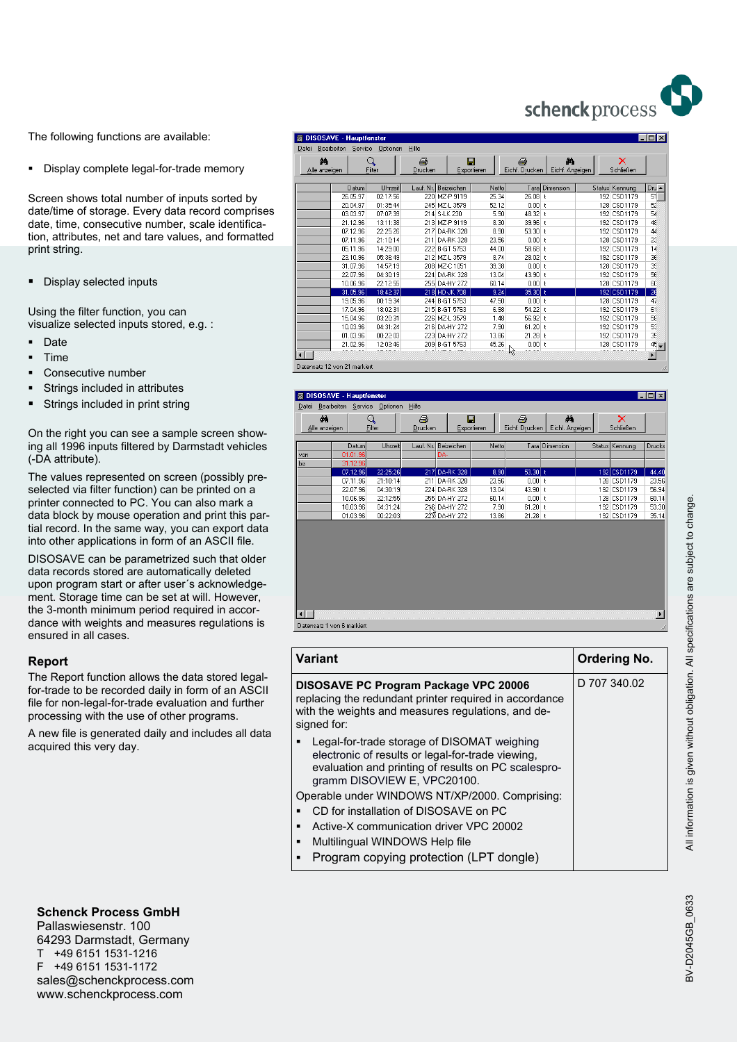

The following functions are available:

Display complete legal-for-trade memory

Screen shows total number of inputs sorted by date/time of storage. Every data record comprises date, time, consecutive number, scale identification, attributes, net and tare values, and formatted print string.

Display selected inputs

Using the filter function, you can visualize selected inputs stored, e.g. :

- Date
- Time
- Consecutive number
- Strings included in attributes
- Strings included in print string

On the right you can see a sample screen showing all 1996 inputs filtered by Darmstadt vehicles (-DA attribute).

The values represented on screen (possibly preselected via filter function) can be printed on a printer connected to PC. You can also mark a data block by mouse operation and print this partial record. In the same way, you can export data into other applications in form of an ASCII file.

DISOSAVE can be parametrized such that older data records stored are automatically deleted upon program start or after user´s acknowledgement. Storage time can be set at will. However, the 3-month minimum period required in accordance with weights and measures regulations is ensured in all cases.

#### **Report**

The Report function allows the data stored legalfor-trade to be recorded daily in form of an ASCII file for non-legal-for-trade evaluation and further processing with the use of other programs.

A new file is generated daily and includes all data acquired this very day.

| Datei         |          | Bearbeiten Service Optionen | Hilfe     |               |                      |                               |                 |                |                 |
|---------------|----------|-----------------------------|-----------|---------------|----------------------|-------------------------------|-----------------|----------------|-----------------|
| đά            |          | Q                           | ê         | П             |                      | ê                             | 備               | ×              |                 |
| Alle anzeigen |          | Filter                      | Drucken   |               | Exportieren          | Eichf. Drucken                | Eichf. Anzeigen | Schließen      |                 |
|               | Datum    | Uhrzeit                     | Lauf. Nr. | Beizeichen    | Nettol               |                               | Tara Dimension  | Status Kennung | $Dru -$         |
|               | 26.05.97 | 02:17:56                    |           | 220 MZ-P 9119 | 25.34                | 26.08                         |                 | 192 CSD1179    | 51              |
|               | 20.04.97 | 01:35:44                    |           | 245 MZ-L 3579 | 52.12                | 0.00 <sub>1</sub>             |                 | 128 CSD1179    | 52              |
|               | 03.03.97 | 07:07:39                    |           | 214 S-LK 230  | 5.90                 | $48.32$ t                     |                 | 192 CSD1179    | 54              |
|               | 21.12.96 | 13:11:38                    |           | 213 MZ-P 9119 | 8.30                 | 39.96 t                       |                 | 192 CSD1179    | 48              |
|               | 07.12.96 | 22:25:26                    |           | 217 DA-RK 328 | 8.90                 | 53.30 t                       |                 | 192 CSD1179    | 44              |
|               | 07.11.96 | 21:10:14                    |           | 211 DA-RK 328 | 23.56                | 0.00 <sub>l</sub>             |                 | 128 CSD1179    | $\overline{25}$ |
|               | 05.11.96 | 14:29:00                    |           | 222 B-GT 5763 | 44.00                | $58.68$ t                     |                 | 192 CSD1179    | 14              |
|               | 23.10.96 | 05:36:49                    |           | 212 MZ-L 3579 | 8.74                 | $28.02$ t                     |                 | 192 CSD1179    | 3E              |
|               | 31.07.96 | 14:57:19                    |           | 208 MZ-C 1051 | 39.38                | 0.00 <sub>l</sub>             |                 | 128 CSD1179    | 35              |
|               | 22.07.96 | 04:30:19                    |           | 224 DA-RK 328 | 13.04                | 43.90 t                       |                 | 192 CSD1179    | 56              |
|               | 10.06.96 | 22:12:55                    |           | 255 DA-HY 272 | 60.14                | 0.001 t                       |                 | 128 CSD1179    | 6C              |
|               | 31.05.96 | 18:42:37                    |           | 218 HD-JK 708 | 9.24                 | $35.30 + t$                   |                 | 192 CSD1179    | 26              |
|               | 19.05.96 | 00:19:34                    |           | 244 B-GT 5763 | 47.50                | 0.00 <sub>1</sub>             |                 | 128 CSD1179    | 47              |
|               | 17.04.96 | 18:02:31                    |           | 215 B-GT 5763 | 6.98                 | $54.22$ t                     |                 | 192 CSD1179    | 61              |
|               | 15.04.96 | 03:20:31                    |           | 226 MZ-L 3579 | 1.48                 | $56.92$ t                     |                 | 192 CSD1179    | 58              |
|               | 10.03.96 | 04:31:24                    |           | 216 DA-HY 272 | 7.90                 | $61.20$ t                     |                 | 192 CSD1179    | 53              |
|               | 01.03.96 | 00:22:03                    |           | 223 DA-HY 272 | 13.86                | $21.28$ t                     |                 | 192 CSD1179    | 35              |
|               | 21.02.96 | 12:03:46                    |           | 209 B-GT 5763 | 45.26<br>$1 - 1 - 1$ | 0.00 <sub>1</sub><br>$\gamma$ |                 | 128 CSD1179    | $45 -$          |

|     | άå<br>Alle anzeigen | Q<br><b>Filter</b> |          | 8<br>Drucken | H             | Exportieren | a,<br>Eichf. Drucken | άå<br>Eichf. Anzeigen | ×<br>Schließen |        |
|-----|---------------------|--------------------|----------|--------------|---------------|-------------|----------------------|-----------------------|----------------|--------|
|     |                     | Datum              | Uhrzeit  | Lauf. Nr.    | Beizeichen    | Netto       |                      | Tara Dimension        | Status Kennung | Drucks |
| von |                     | 01.01.96           |          |              | DA-           |             |                      |                       |                |        |
| bis |                     | 31.12.96           |          |              |               |             |                      |                       |                |        |
|     |                     | 07.12.96           | 22:25:26 |              | 217 DA-RK 328 | 8.90        | $53.30 + t$          |                       | 192 CSD1179    | 44.40  |
|     |                     | 07.11.96           | 21:10:14 | 211          | DA-RK 328     | 23.56       | $0.00 + t$           |                       | 128 CSD1179    | 23.56  |
|     |                     | 22.07.96           | 04:30:19 |              | 224 DA-RK 328 | 13.04       | 43.90 t              |                       | 192 CSD1179    | 56.94  |
|     |                     | 10.06.96           | 22:12:55 |              | 255 DA-HY 272 | 60.14       | $0.00 +$             |                       | 128 CSD1179    | 60.14  |
|     |                     | 10.03.96           | 04:31:24 |              | 216 DA-HY 272 | 7.90        | $61.20$ t            |                       | 192 CSD1179    | 53.30  |
|     |                     | 01.03.96           | 00:22:03 |              | 22S DA HY 272 | 13.86       | $21.28$ t            |                       | 192 CSD1179    | 35.14  |
|     |                     |                    |          |              |               |             |                      |                       |                |        |

 $\overline{\mathbf{H}}$ Datensatz 1 von 6 markiert

| <b>Variant</b>                                                                                                                                                                              | <b>Ordering No.</b> |
|---------------------------------------------------------------------------------------------------------------------------------------------------------------------------------------------|---------------------|
| <b>DISOSAVE PC Program Package VPC 20006</b><br>replacing the redundant printer required in accordance<br>with the weights and measures regulations, and de-<br>signed for:                 | D 707 340.02        |
| Legal-for-trade storage of DISOMAT weighing<br>▪<br>electronic of results or legal-for-trade viewing,<br>evaluation and printing of results on PC scalespro-<br>gramm DISOVIEW E, VPC20100. |                     |
| Operable under WINDOWS NT/XP/2000. Comprising:                                                                                                                                              |                     |
| CD for installation of DISOSAVE on PC                                                                                                                                                       |                     |
| Active-X communication driver VPC 20002<br>▪                                                                                                                                                |                     |
| Multilingual WINDOWS Help file<br>п                                                                                                                                                         |                     |
|                                                                                                                                                                                             |                     |

 $\overline{\phantom{1}}$ 

# **Schenck Process GmbH**

Pallaswiesenstr. 100 64293 Darmstadt, Germany T +49 6151 1531-1216 F +49 6151 1531-1172 sales@schenckprocess.com www.schenckprocess.com

BV-D2045GB\_0633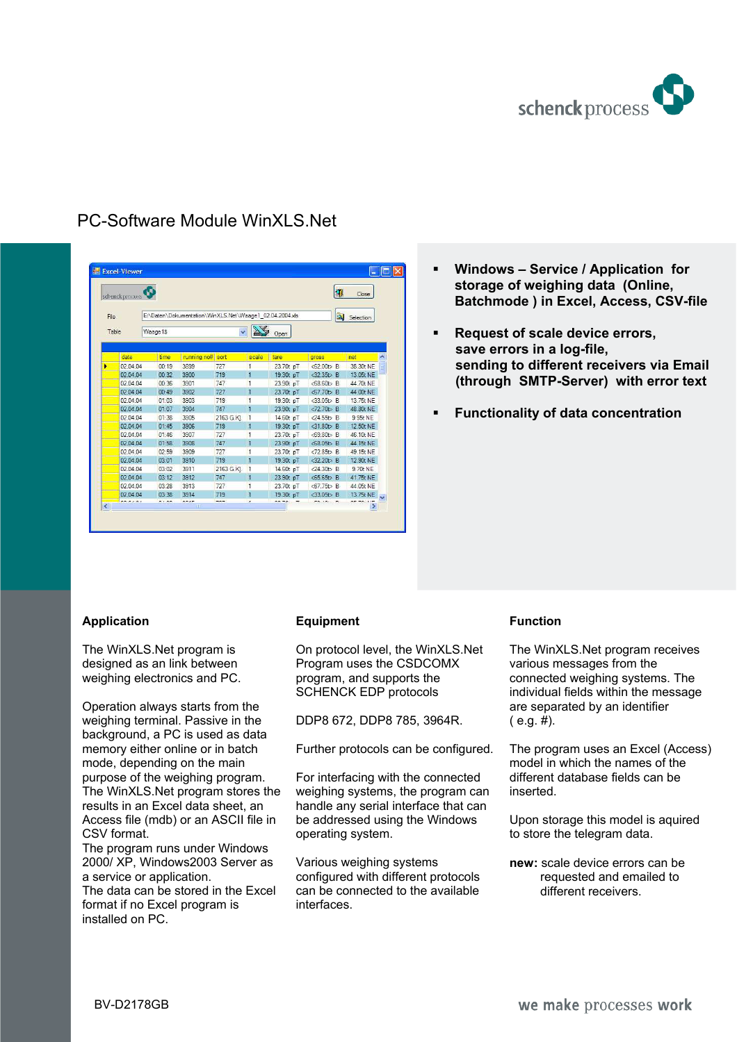

|      | schenck process |          |                                                         |            |                |           | 韧                             | Close     |
|------|-----------------|----------|---------------------------------------------------------|------------|----------------|-----------|-------------------------------|-----------|
| File |                 |          | E:\Daten\Dokumentation\WinXLS.Net\Waage1_02.04.2004.xls |            |                |           | Q                             | Selection |
|      | Table           | Waage1\$ |                                                         |            |                | Open      |                               |           |
|      | date            | time     | running no#                                             | sort       | scale          | tare      | aross                         | net       |
| ь    | 02.04.04        | 00:19    | 3899                                                    | 727        | $\mathbf{1}$   | 23.70t pT | $52.00t$ B                    | 38.30t NE |
|      | 02.04.04        | 00:32    | 3900                                                    | 719        | 1              | 19.30t pT | $<$ 32.35 $\leftrightarrow$ B | 13.05t NE |
|      | 02.04.04        | 00:36    | 3901                                                    | 747        | $\mathbf{1}$   | 23.90t pT | $<68.60$ t>B                  | 44.70t NE |
|      | 02.04.04        | 00:49    | 3902                                                    | 727        | $\overline{1}$ | 23.70t pT | $< 67.70t$ B                  | 44 00t NE |
|      | 02.04.04        | 01:03    | 3903                                                    | 719        | $\overline{1}$ | 19.30t pT | $<$ 33.05 $\Rightarrow$ B     | 13.75t NE |
|      | 02 04 04        | 01:07    | 3904                                                    | 747        | $\mathbf{1}$   | 23.90t pT | $<72.70$ t>B                  | 48.80t NE |
|      | 02.04.04        | 01:38    | 3905                                                    | 2163 G.KJ. | $\vert$ 1      | 14,60t pT | $-24.55t$ B                   | 9.95t NF  |
|      | 02.04.04        | 01:45    | 3906                                                    | 719        | $\overline{1}$ | 19.30t pT | $<$ 31.80 $t$ > B             | 12.50t NE |
|      | 02 04 04        | 01:46    | 3907                                                    | 727        | $\mathbf{1}$   | 23.70t pT | $<69.80$ t> $B$               | 46.10t NF |
|      | 02.04.04        | 01:58    | 3908                                                    | 747        | $\overline{1}$ | 23.90t pT | $<68.05t$ B                   | 44.15t NE |
|      | 02.04.04        | 02:59    | 3909                                                    | 727        | $\mathbf{1}$   | 23.70t pT | $<72.85b$ B                   | 49.15t NE |
|      | 02.04.04        | 03:01    | 3910                                                    | 719        | $\overline{1}$ | 19.30t pT | $<$ 32.20 <sup>t</sup> >B     | 12.90t NE |
|      | 02.04.04        | 03:02    | 3911                                                    | 2163 G.KI. | $\vert$ 1      | 14,60t pT | $\langle 24.30t \rangle$ B    | 9.70t NE  |
|      | 02.04.04        | 03:12    | 3912                                                    | 747        | $\vert$ 1      | 23.90t pT | $55.65 \rightarrow B$         | 41.75t NE |
|      | 02.04.04        | 03:28    | 3913                                                    | 727        | $\overline{1}$ | 23.70t pT | $<$ 67.75 $\uparrow$ B        | 44.05t NE |
|      | 02 04 04        | 03:38    | 3914                                                    | 719        | $\overline{1}$ | 19.30t pT | $<$ 33.05t>B                  | 13.75t NE |

# PC-Software Module WinXLS.Net

- **Windows Service / Application for storage of weighing data (Online, Batchmode ) in Excel, Access, CSV-file**
- **Request of scale device errors, save errors in a log-file, sending to different receivers via Email (through SMTP-Server) with error text**
- **Functionality of data concentration**

## **Application**

The WinXLS.Net program is designed as an link between weighing electronics and PC.

Operation always starts from the weighing terminal. Passive in the background, a PC is used as data memory either online or in batch mode, depending on the main purpose of the weighing program. The WinXLS.Net program stores the results in an Excel data sheet, an Access file (mdb) or an ASCII file in CSV format.

The program runs under Windows 2000/ XP, Windows2003 Server as a service or application.

The data can be stored in the Excel format if no Excel program is installed on PC.

## **Equipment**

On protocol level, the WinXLS.Net Program uses the CSDCOMX program, and supports the SCHENCK EDP protocols

DDP8 672, DDP8 785, 3964R.

Further protocols can be configured.

For interfacing with the connected weighing systems, the program can handle any serial interface that can be addressed using the Windows operating system.

Various weighing systems configured with different protocols can be connected to the available interfaces.

## **Function**

The WinXLS.Net program receives various messages from the connected weighing systems. The individual fields within the message are separated by an identifier  $(e.g. #).$ 

The program uses an Excel (Access) model in which the names of the different database fields can be inserted.

Upon storage this model is aquired to store the telegram data.

**new:** scale device errors can be requested and emailed to different receivers.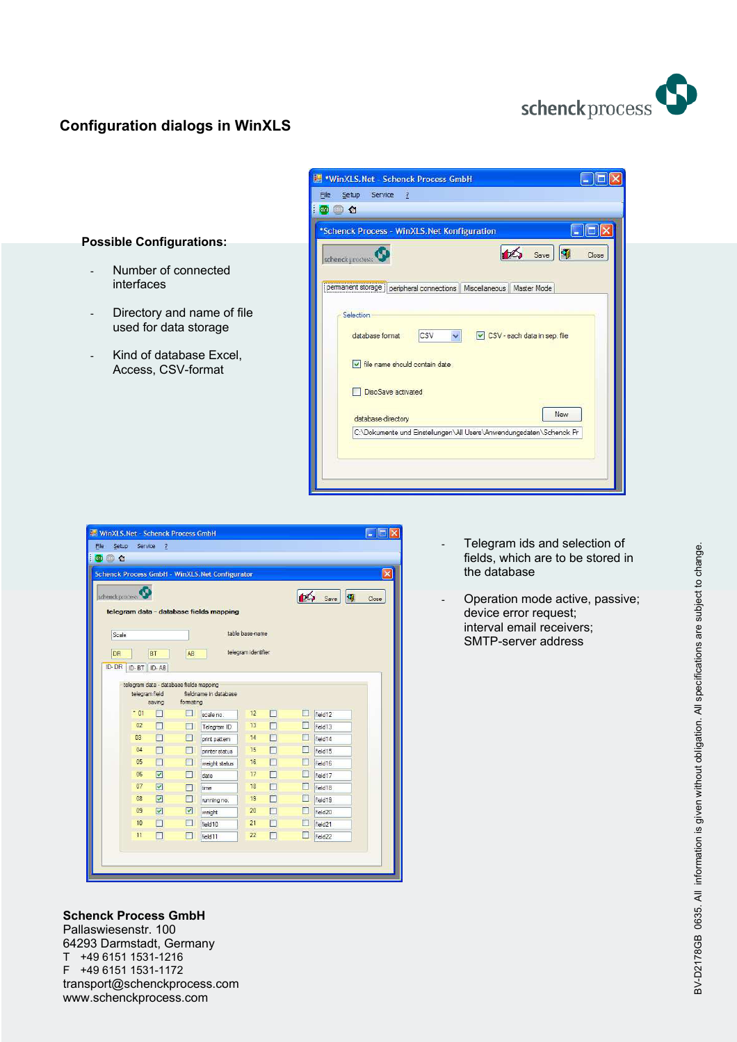

# **Configuration dialogs in WinXLS**

interfaces



| ◎ △             |                      |                                         |           |                                                 |                     |   |                   |                               |
|-----------------|----------------------|-----------------------------------------|-----------|-------------------------------------------------|---------------------|---|-------------------|-------------------------------|
|                 |                      |                                         |           | Schenck Process GmbH - WinXLS. Net Configurator |                     |   |                   |                               |
| schenck process |                      |                                         |           |                                                 |                     |   |                   |                               |
|                 |                      |                                         |           |                                                 |                     |   |                   | $\mathbf{u}$<br>Save<br>Close |
|                 |                      |                                         |           | telegram data - database fields mapping         |                     |   |                   |                               |
| Scale           |                      |                                         |           |                                                 | table base-name     |   |                   |                               |
| DR              |                      | <b>BT</b>                               | AB        |                                                 | telegram identifier |   |                   |                               |
| ID-DR           | ID-BT ID-AB          |                                         |           |                                                 |                     |   |                   |                               |
|                 |                      |                                         |           |                                                 |                     |   |                   |                               |
|                 |                      | telegram data - database fields mapping |           |                                                 |                     |   |                   |                               |
|                 | telegram field       | saving                                  | formating | fieldname in database                           |                     |   |                   |                               |
|                 | $-01$                | П                                       | П         | scale no                                        | 12                  | П | П                 | field 12                      |
|                 | 02                   | П                                       |           | Telegram ID                                     | 13                  | П | п                 | field 13                      |
|                 | 03                   | П                                       |           | print pattern                                   | 14                  | m | П                 | field 14                      |
|                 | 04                   | $\Box$                                  | ГΙ        | printer status                                  | 15                  | П | П                 | field 15                      |
|                 | 0 <sub>5</sub>       | П                                       |           | weight status                                   | 16                  | П | $\Box$            | field 16                      |
|                 | <b>D<sub>6</sub></b> | $\triangledown$                         |           | date                                            | 17                  |   | п                 | field 17                      |
|                 | 07                   | $\overline{\mathbf{v}}$                 |           | time                                            | 18                  |   | П                 | field 18                      |
|                 | 08                   | $\overline{\mathbf{v}}$                 |           | running no.                                     | 19                  |   | П                 | field 19                      |
|                 | 09                   | $\triangledown$                         | ☑         | weight                                          | 20                  | m | П                 | field <sub>20</sub>           |
|                 | 10                   | П                                       |           | field 10                                        | 21                  |   | <b>The Street</b> | field <sub>21</sub>           |
|                 | 11                   | П                                       | ш         | field <sub>11</sub>                             | 22                  | П |                   | field <sub>22</sub>           |
|                 |                      |                                         |           |                                                 |                     |   |                   |                               |

- Telegram ids and selection of fields, which are to be stored in the database
- Operation mode active, passive; device error request; interval email receivers; SMTP-server address

**Schenck Process GmbH**  Pallaswiesenstr. 100 64293 Darmstadt, Germany T +49 6151 1531-1216<br>F +49 6151 1531-1172 F +49 6151 1531-1172 transport@schenckprocess.com www.schenckprocess.com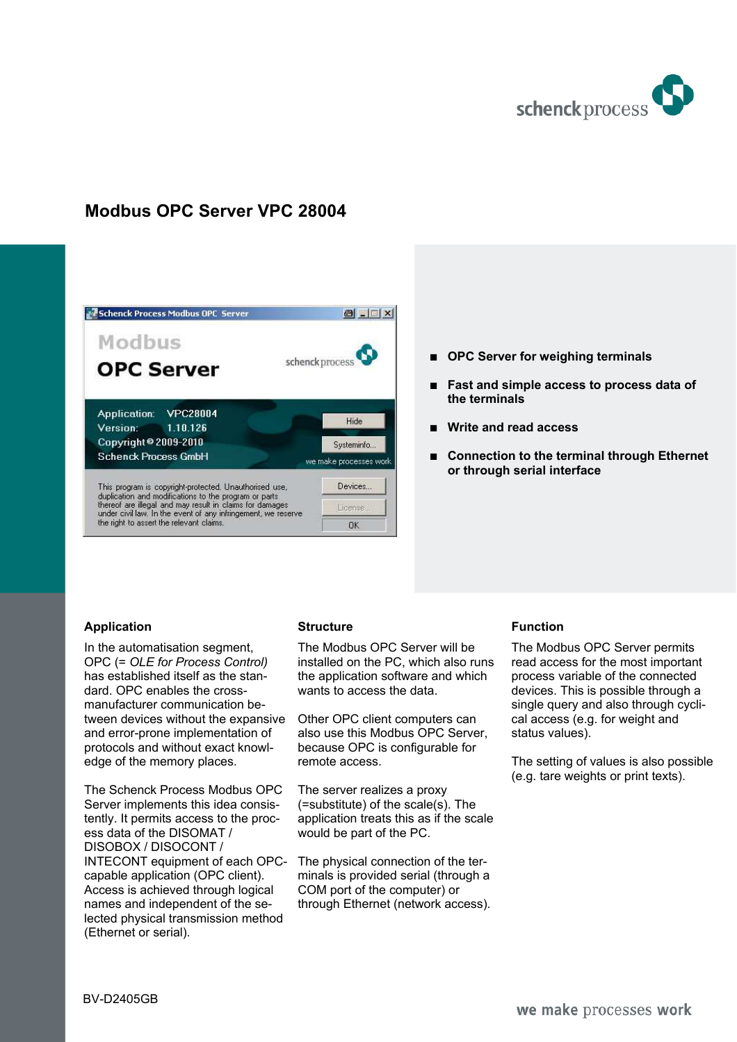

# **Modbus OPC Server VPC 28004**



- OPC Server for weighing terminals
- % **Fast and simple access to process data of the terminals**
- % **Write and read access**
- Connection to the terminal through Ethernet **or through serial interface**

## **Application**

In the automatisation segment, OPC (= *OLE for Process Control)*  has established itself as the standard. OPC enables the crossmanufacturer communication between devices without the expansive and error-prone implementation of protocols and without exact knowledge of the memory places.

The Schenck Process Modbus OPC Server implements this idea consistently. It permits access to the process data of the DISOMAT / DISOBOX / DISOCONT / INTECONT equipment of each OPCcapable application (OPC client). Access is achieved through logical names and independent of the selected physical transmission method (Ethernet or serial).

#### **Structure**

The Modbus OPC Server will be installed on the PC, which also runs the application software and which wants to access the data.

Other OPC client computers can also use this Modbus OPC Server, because OPC is configurable for remote access.

The server realizes a proxy (=substitute) of the scale(s). The application treats this as if the scale would be part of the PC.

The physical connection of the terminals is provided serial (through a COM port of the computer) or through Ethernet (network access).

## **Function**

The Modbus OPC Server permits read access for the most important process variable of the connected devices. This is possible through a single query and also through cyclical access (e.g. for weight and status values).

The setting of values is also possible (e.g. tare weights or print texts).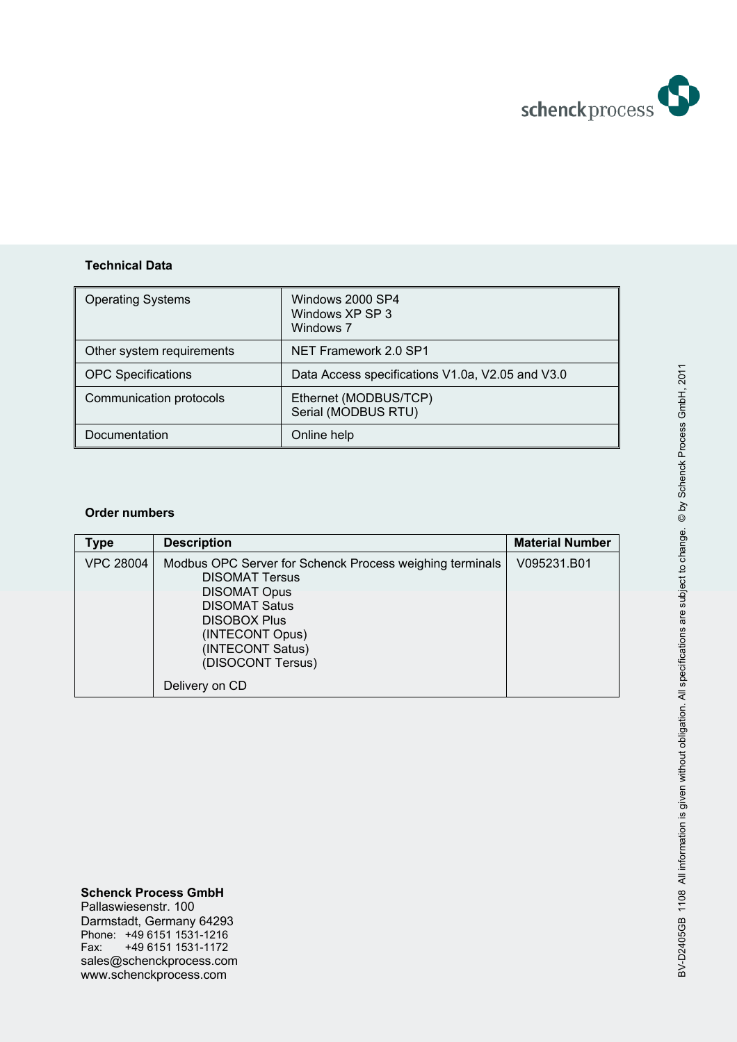

## **Technical Data**

| <b>Operating Systems</b>  | Windows 2000 SP4<br>Windows XP SP 3<br>Windows 7 |
|---------------------------|--------------------------------------------------|
| Other system requirements | NET Framework 2.0 SP1                            |
| <b>OPC Specifications</b> | Data Access specifications V1.0a, V2.05 and V3.0 |
| Communication protocols   | Ethernet (MODBUS/TCP)<br>Serial (MODBUS RTU)     |
| Documentation             | Online help                                      |

## **Order numbers**

| Type             | <b>Description</b>                                                                                                                                                                                                  | <b>Material Number</b> |
|------------------|---------------------------------------------------------------------------------------------------------------------------------------------------------------------------------------------------------------------|------------------------|
| <b>VPC 28004</b> | Modbus OPC Server for Schenck Process weighing terminals<br><b>DISOMAT Tersus</b><br><b>DISOMAT Opus</b><br><b>DISOMAT Satus</b><br><b>DISOBOX Plus</b><br>(INTECONT Opus)<br>(INTECONT Satus)<br>(DISOCONT Tersus) | V095231.B01            |
|                  | Delivery on CD                                                                                                                                                                                                      |                        |

#### **Schenck Process GmbH**  Pallaswiesenstr. 100 Darmstadt, Germany 64293 Phone: +49 6151 1531-1216 Fax: +49 6151 1531-1172 sales@schenckprocess.com www.schenckprocess.com